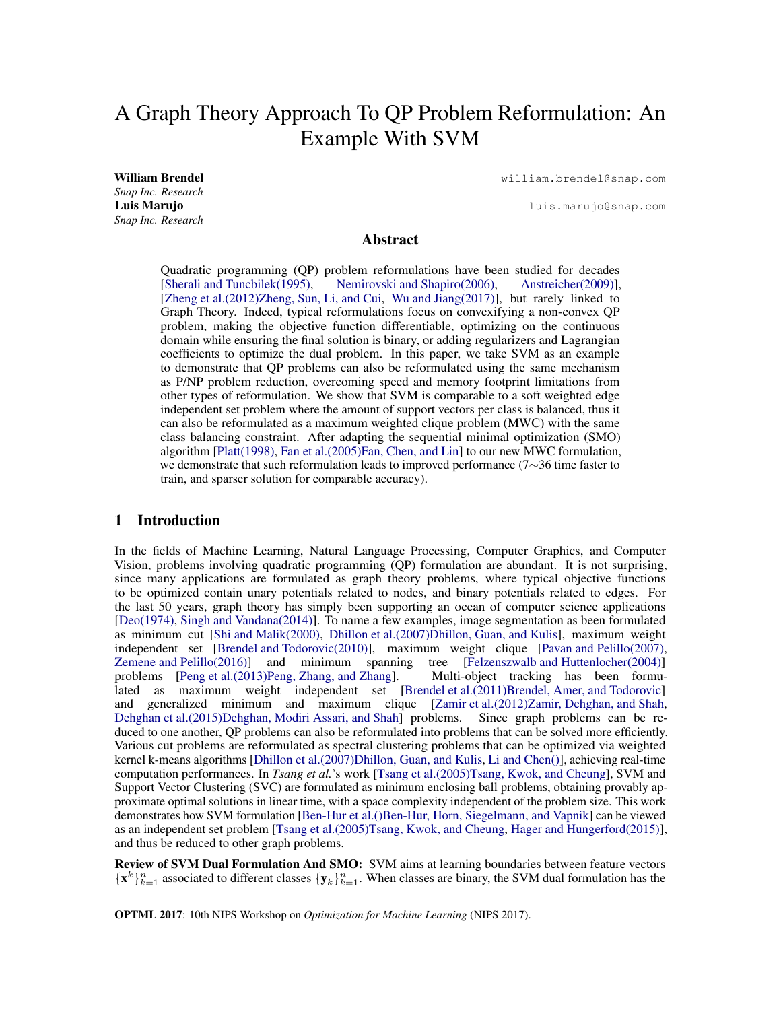# A Graph Theory Approach To QP Problem Reformulation: An Example With SVM

*Snap Inc. Research Snap Inc. Research*

William Brendel william.brendel@snap.com

Luis Marujo luis.marujo@snap.com

# Abstract

Quadratic programming (QP) problem reformulations have been studied for decades [\[Sherali and Tuncbilek\(1995\),](#page-4-0) [Nemirovski and Shapiro\(2006\),](#page-4-1) [Anstreicher\(2009\)\]](#page-4-2), [\[Zheng et al.\(2012\)Zheng, Sun, Li, and Cui,](#page-4-3) [Wu and Jiang\(2017\)\]](#page-4-4), but rarely linked to Graph Theory. Indeed, typical reformulations focus on convexifying a non-convex QP problem, making the objective function differentiable, optimizing on the continuous domain while ensuring the final solution is binary, or adding regularizers and Lagrangian coefficients to optimize the dual problem. In this paper, we take SVM as an example to demonstrate that QP problems can also be reformulated using the same mechanism as P/NP problem reduction, overcoming speed and memory footprint limitations from other types of reformulation. We show that SVM is comparable to a soft weighted edge independent set problem where the amount of support vectors per class is balanced, thus it can also be reformulated as a maximum weighted clique problem (MWC) with the same class balancing constraint. After adapting the sequential minimal optimization (SMO) algorithm [\[Platt\(1998\),](#page-4-5) [Fan et al.\(2005\)Fan, Chen, and Lin\]](#page-4-6) to our new MWC formulation, we demonstrate that such reformulation leads to improved performance (7∼36 time faster to train, and sparser solution for comparable accuracy).

## 1 Introduction

In the fields of Machine Learning, Natural Language Processing, Computer Graphics, and Computer Vision, problems involving quadratic programming (QP) formulation are abundant. It is not surprising, since many applications are formulated as graph theory problems, where typical objective functions to be optimized contain unary potentials related to nodes, and binary potentials related to edges. For the last 50 years, graph theory has simply been supporting an ocean of computer science applications [\[Deo\(1974\),](#page-4-7) [Singh and Vandana\(2014\)\]](#page-4-8). To name a few examples, image segmentation as been formulated as minimum cut [\[Shi and Malik\(2000\),](#page-4-9) [Dhillon et al.\(2007\)Dhillon, Guan, and Kulis\]](#page-4-10), maximum weight independent set [\[Brendel and Todorovic\(2010\)\]](#page-4-11), maximum weight clique [\[Pavan and Pelillo\(2007\),](#page-4-12) [Zemene and Pelillo\(2016\)\]](#page-4-13) and minimum spanning tree [\[Felzenszwalb and Huttenlocher\(2004\)\]](#page-4-14) problems [\[Peng et al.\(2013\)Peng, Zhang, and Zhang\]](#page-4-15). Multi-object tracking has been formulated as maximum weight independent set [\[Brendel et al.\(2011\)Brendel, Amer, and Todorovic\]](#page-4-16) and generalized minimum and maximum clique [\[Zamir et al.\(2012\)Zamir, Dehghan, and Shah,](#page-4-17) [Dehghan et al.\(2015\)Dehghan, Modiri Assari, and Shah\]](#page-4-18) problems. Since graph problems can be reduced to one another, QP problems can also be reformulated into problems that can be solved more efficiently. Various cut problems are reformulated as spectral clustering problems that can be optimized via weighted kernel k-means algorithms [\[Dhillon et al.\(2007\)Dhillon, Guan, and Kulis,](#page-4-10) [Li and Chen\(\)\]](#page-4-19), achieving real-time computation performances. In *Tsang et al.*'s work [\[Tsang et al.\(2005\)Tsang, Kwok, and Cheung\]](#page-4-20), SVM and Support Vector Clustering (SVC) are formulated as minimum enclosing ball problems, obtaining provably approximate optimal solutions in linear time, with a space complexity independent of the problem size. This work demonstrates how SVM formulation [\[Ben-Hur et al.\(\)Ben-Hur, Horn, Siegelmann, and Vapnik\]](#page-4-21) can be viewed as an independent set problem [\[Tsang et al.\(2005\)Tsang, Kwok, and Cheung,](#page-4-20) [Hager and Hungerford\(2015\)\]](#page-4-22), and thus be reduced to other graph problems.

Review of SVM Dual Formulation And SMO: SVM aims at learning boundaries between feature vectors  ${x^k}_{k=1}^n$  associated to different classes  ${y_k}_{k=1}^n$ . When classes are binary, the SVM dual formulation has the

OPTML 2017: 10th NIPS Workshop on *Optimization for Machine Learning* (NIPS 2017).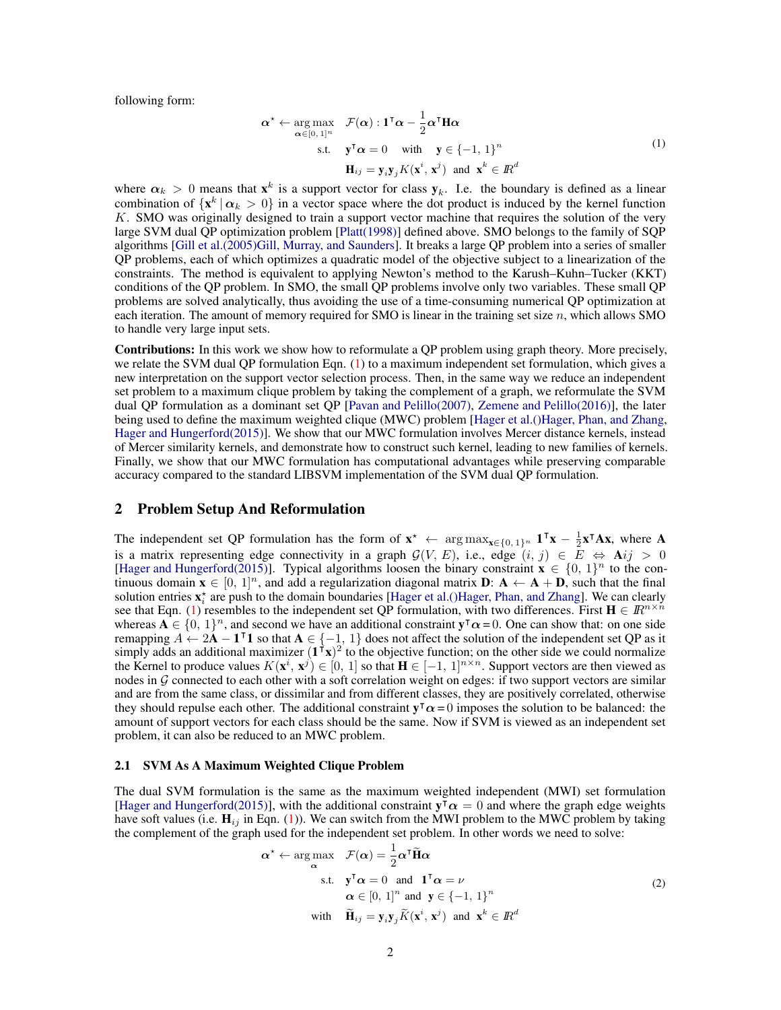following form:

<span id="page-1-0"></span>
$$
\boldsymbol{\alpha}^* \leftarrow \underset{\boldsymbol{\alpha} \in [0,1]^n}{\arg \max} \quad \mathcal{F}(\boldsymbol{\alpha}) : \mathbf{1}^\mathsf{T} \boldsymbol{\alpha} - \frac{1}{2} \boldsymbol{\alpha}^\mathsf{T} \mathbf{H} \boldsymbol{\alpha}
$$
  
s.t. 
$$
\mathbf{y}^\mathsf{T} \boldsymbol{\alpha} = 0 \quad \text{with} \quad \mathbf{y} \in \{-1, 1\}^n
$$

$$
\mathbf{H}_{ij} = \mathbf{y}_i \mathbf{y}_j K(\mathbf{x}^i, \mathbf{x}^j) \quad \text{and} \quad \mathbf{x}^k \in \mathbb{R}^d
$$

$$
(1)
$$

where  $\alpha_k > 0$  means that  $x^k$  is a support vector for class  $y_k$ . I.e. the boundary is defined as a linear combination of  $\{x^k | \alpha_k > 0\}$  in a vector space where the dot product is induced by the kernel function K. SMO was originally designed to train a support vector machine that requires the solution of the very large SVM dual QP optimization problem [\[Platt\(1998\)\]](#page-4-5) defined above. SMO belongs to the family of SQP algorithms [\[Gill et al.\(2005\)Gill, Murray, and Saunders\]](#page-4-23). It breaks a large QP problem into a series of smaller QP problems, each of which optimizes a quadratic model of the objective subject to a linearization of the constraints. The method is equivalent to applying Newton's method to the Karush–Kuhn–Tucker (KKT) conditions of the QP problem. In SMO, the small QP problems involve only two variables. These small QP problems are solved analytically, thus avoiding the use of a time-consuming numerical QP optimization at each iteration. The amount of memory required for SMO is linear in the training set size  $n$ , which allows SMO to handle very large input sets.

Contributions: In this work we show how to reformulate a QP problem using graph theory. More precisely, we relate the SVM dual QP formulation Eqn. [\(1\)](#page-1-0) to a maximum independent set formulation, which gives a new interpretation on the support vector selection process. Then, in the same way we reduce an independent set problem to a maximum clique problem by taking the complement of a graph, we reformulate the SVM dual QP formulation as a dominant set QP [\[Pavan and Pelillo\(2007\),](#page-4-12) [Zemene and Pelillo\(2016\)\]](#page-4-13), the later being used to define the maximum weighted clique (MWC) problem [\[Hager et al.\(\)Hager, Phan, and Zhang,](#page-4-24) [Hager and Hungerford\(2015\)\]](#page-4-22). We show that our MWC formulation involves Mercer distance kernels, instead of Mercer similarity kernels, and demonstrate how to construct such kernel, leading to new families of kernels. Finally, we show that our MWC formulation has computational advantages while preserving comparable accuracy compared to the standard LIBSVM implementation of the SVM dual QP formulation.

## 2 Problem Setup And Reformulation

The independent set QP formulation has the form of  $\mathbf{x}^* \leftarrow \arg \max_{\mathbf{x} \in \{0,1\}^n} \mathbf{1}^\mathsf{T} \mathbf{x} - \frac{1}{2} \mathbf{x}^\mathsf{T} \mathbf{A} \mathbf{x}$ , where A is a matrix representing edge connectivity in a graph  $G(V, E)$ , i.e., edge  $(i, j) \in E \Leftrightarrow \textbf{A}ij > 0$ [\[Hager and Hungerford\(2015\)\]](#page-4-22). Typical algorithms loosen the binary constraint  $\mathbf{x} \in \{0, 1\}^n$  to the continuous domain  $\mathbf{x} \in [0, 1]^n$ , and add a regularization diagonal matrix  $\mathbf{D}$ :  $\mathbf{A} \leftarrow \mathbf{A} + \mathbf{D}$ , such that the final solution entries  $x_i^*$  are push to the domain boundaries [\[Hager et al.\(\)Hager, Phan, and Zhang\]](#page-4-24). We can clearly see that Eqn. [\(1\)](#page-1-0) resembles to the independent set QP formulation, with two differences. First  $\mathbf{H} \in \mathbb{R}^{n \times n}$ whereas  $A \in \{0, 1\}^n$ , and second we have an additional constraint  $y^T \alpha = 0$ . One can show that: on one side remapping  $A \leftarrow 2A - 1^T 1$  so that  $A \in \{-1, 1\}$  does not affect the solution of the independent set QP as it simply adds an additional maximizer  $(1^T x)^2$  to the objective function; on the other side we could normalize the Kernel to produce values  $K(\mathbf{x}^i, \mathbf{x}^j) \in [0, 1]$  so that  $\mathbf{H} \in [-1, 1]^{n \times n}$ . Support vectors are then viewed as nodes in  $G$  connected to each other with a soft correlation weight on edges: if two support vectors are similar and are from the same class, or dissimilar and from different classes, they are positively correlated, otherwise they should repulse each other. The additional constraint  $y^T \alpha = 0$  imposes the solution to be balanced: the amount of support vectors for each class should be the same. Now if SVM is viewed as an independent set problem, it can also be reduced to an MWC problem.

#### 2.1 SVM As A Maximum Weighted Clique Problem

The dual SVM formulation is the same as the maximum weighted independent (MWI) set formulation [\[Hager and Hungerford\(2015\)\]](#page-4-22), with the additional constraint  $y^{\dagger} \alpha = 0$  and where the graph edge weights have soft values (i.e.  $H_{ij}$  in Eqn. [\(1\)](#page-1-0)). We can switch from the MWI problem to the MWC problem by taking the complement of the graph used for the independent set problem. In other words we need to solve:

<span id="page-1-1"></span>
$$
\alpha^* \leftarrow \arg \max_{\alpha} \quad \mathcal{F}(\alpha) = \frac{1}{2} \alpha^{\mathsf{T}} \widetilde{\mathbf{H}} \alpha
$$
  
s.t. 
$$
\mathbf{y}^{\mathsf{T}} \alpha = 0 \quad \text{and} \quad \mathbf{1}^{\mathsf{T}} \alpha = \nu
$$

$$
\alpha \in [0, 1]^n \text{ and } \mathbf{y} \in \{-1, 1\}^n
$$
with 
$$
\widetilde{\mathbf{H}}_{ij} = \mathbf{y}_i \mathbf{y}_j \widetilde{K}(\mathbf{x}^i, \mathbf{x}^j) \text{ and } \mathbf{x}^k \in \mathbb{R}^d
$$
 (2)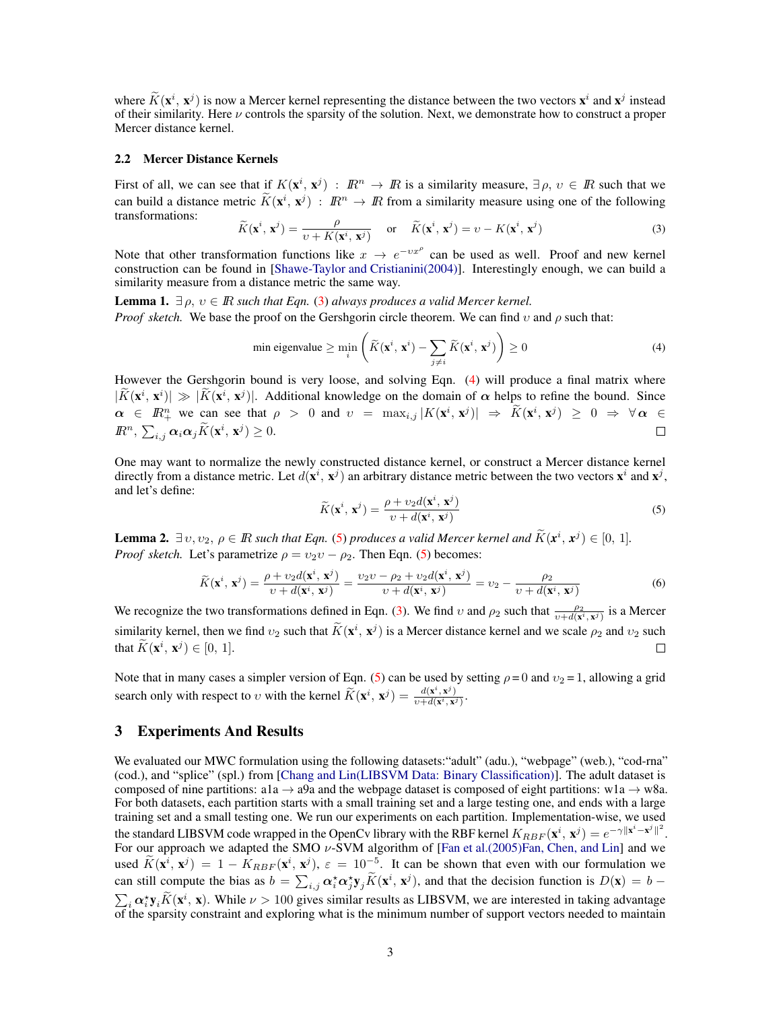where  $\tilde{K}(\mathbf{x}^i, \mathbf{x}^j)$  is now a Mercer kernel representing the distance between the two vectors  $\mathbf{x}^i$  and  $\mathbf{x}^j$  instead of their similarity. Here  $\nu$  controls the sparsity of the solution. Next, we demonstrate how to construct a proper Mercer distance kernel.

#### 2.2 Mercer Distance Kernels

First of all, we can see that if  $K(\mathbf{x}^i, \mathbf{x}^j)$ :  $\mathbb{R}^n \to \mathbb{R}$  is a similarity measure,  $\exists \rho, \nu \in \mathbb{R}$  such that we can build a distance metric  $\widetilde{K}(\mathbf{x}^i, \mathbf{x}^j)$ :  $\mathbb{R}^n \to \mathbb{R}$  from a similarity measure using one of the following transformations:

<span id="page-2-0"></span>
$$
\widetilde{K}(\mathbf{x}^i, \mathbf{x}^j) = \frac{\rho}{\upsilon + K(\mathbf{x}^i, \mathbf{x}^j)} \quad \text{or} \quad \widetilde{K}(\mathbf{x}^i, \mathbf{x}^j) = \upsilon - K(\mathbf{x}^i, \mathbf{x}^j)
$$
\n(3)

Note that other transformation functions like  $x \to e^{-vx^{\rho}}$  can be used as well. Proof and new kernel construction can be found in [\[Shawe-Taylor and Cristianini\(2004\)\]](#page-4-25). Interestingly enough, we can build a similarity measure from a distance metric the same way.

**Lemma 1.**  $\exists \rho, v \in \mathbb{R}$  *such that Eqn.* [\(3\)](#page-2-0) *always produces a valid Mercer kernel. Proof sketch.* We base the proof on the Gershgorin circle theorem. We can find v and  $\rho$  such that:

min eigenvalue 
$$
\geq \min_{i} \left( \widetilde{K}(\mathbf{x}^i, \mathbf{x}^i) - \sum_{j \neq i} \widetilde{K}(\mathbf{x}^i, \mathbf{x}^j) \right) \geq 0
$$
 (4)

However the Gershgorin bound is very loose, and solving Eqn. [\(4\)](#page-2-1) will produce a final matrix where  $|\tilde{K}(\mathbf{x}^i, \mathbf{x}^i)| \gg |\tilde{K}(\mathbf{x}^i, \mathbf{x}^j)|$ . Additional knowledge on the domain of  $\alpha$  helps to refine the bound. Since  $\alpha \in \mathbb{R}^n_+$  we can see that  $\rho > 0$  and  $v = \max_{i,j} |K(\mathbf{x}^i, \mathbf{x}^j)| \Rightarrow \widetilde{K}(\mathbf{x}^i, \mathbf{x}^j) \geq 0 \Rightarrow \forall \alpha \in$  $\mathbb{R}^n$ ,  $\sum_{i,j} \alpha_i \alpha_j \widetilde{K}(\mathbf{x}^i, \mathbf{x}^j) \geq 0$ .  $\Box$ 

<span id="page-2-2"></span>One may want to normalize the newly constructed distance kernel, or construct a Mercer distance kernel directly from a distance metric. Let  $d(x^i, x^j)$  an arbitrary distance metric between the two vectors  $x^i$  and  $x^j$ , and let's define:

<span id="page-2-1"></span>
$$
\widetilde{K}(\mathbf{x}^i, \mathbf{x}^j) = \frac{\rho + v_2 d(\mathbf{x}^i, \mathbf{x}^j)}{v + d(\mathbf{x}^i, \mathbf{x}^j)}
$$
(5)

**Lemma 2.**  $\exists v, v_2, \rho \in \mathbb{R}$  such that Eqn. [\(5\)](#page-2-2) produces a valid Mercer kernel and  $\widetilde{K}(\mathbf{x}^i, \mathbf{x}^j) \in [0, 1]$ . *Proof sketch.* Let's parametrize  $\rho = v_2v - \rho_2$ . Then Eqn. [\(5\)](#page-2-2) becomes:

$$
\widetilde{K}(\mathbf{x}^i, \mathbf{x}^j) = \frac{\rho + v_2 d(\mathbf{x}^i, \mathbf{x}^j)}{\nu + d(\mathbf{x}^i, \mathbf{x}^j)} = \frac{v_2 \nu - \rho_2 + v_2 d(\mathbf{x}^i, \mathbf{x}^j)}{\nu + d(\mathbf{x}^i, \mathbf{x}^j)} = v_2 - \frac{\rho_2}{\nu + d(\mathbf{x}^i, \mathbf{x}^j)}
$$
(6)

We recognize the two transformations defined in Eqn. [\(3\)](#page-2-0). We find v and  $\rho_2$  such that  $\frac{\rho_2}{v+d(\mathbf{x}^i, \mathbf{x}^j)}$  is a Mercer similarity kernel, then we find  $v_2$  such that  $\tilde{K}(\mathbf{x}^i, \mathbf{x}^j)$  is a Mercer distance kernel and we scale  $\rho_2$  and  $v_2$  such that  $\widetilde{K}(\mathbf{x}^i, \mathbf{x}^j) \in [0, 1].$  $\Box$ 

Note that in many cases a simpler version of Eqn. [\(5\)](#page-2-2) can be used by setting  $\rho = 0$  and  $v_2 = 1$ , allowing a grid search only with respect to v with the kernel  $\widetilde{K}(\mathbf{x}^i, \mathbf{x}^j) = \frac{d(\mathbf{x}^i, \mathbf{x}^j)}{v + d(\mathbf{x}^i, \mathbf{x}^j)}$  $\frac{u(\mathbf{x}, \mathbf{x}^{\nu})}{\nu+d(\mathbf{x}^i, \mathbf{x}^j)}$ .

## 3 Experiments And Results

We evaluated our MWC formulation using the following datasets: "adult" (adu.), "webpage" (web.), "cod-rna" (cod.), and "splice" (spl.) from [\[Chang and Lin\(LIBSVM Data: Binary Classification\)\]](#page-4-26). The adult dataset is composed of nine partitions: a1a  $\rightarrow$  a9a and the webpage dataset is composed of eight partitions: w1a  $\rightarrow$  w8a. For both datasets, each partition starts with a small training set and a large testing one, and ends with a large training set and a small testing one. We run our experiments on each partition. Implementation-wise, we used the standard LIBSVM code wrapped in the OpenCv library with the RBF kernel  $K_{RBF}(\mathbf{x}^i, \mathbf{x}^j) = e^{-\gamma ||\mathbf{x}^i - \mathbf{x}^j||^2}$ . For our approach we adapted the SMO  $\nu$ -SVM algorithm of [\[Fan et al.\(2005\)Fan, Chen, and Lin\]](#page-4-6) and we used  $\tilde{K}(\mathbf{x}^i, \mathbf{x}^j) = 1 - K_{RBF}(\mathbf{x}^i, \mathbf{x}^j), \varepsilon = 10^{-5}$ . It can be shown that even with our formulation we can still compute the bias as  $b = \sum_{i,j} \alpha_i^* \alpha_j^* y_j \tilde{K}(\mathbf{x}^i, \mathbf{x}^j)$ , and that the decision function is  $D(\mathbf{x}) = b - \sum_{i,j} \alpha_i^* \alpha_j^* y_j \tilde{K}(\mathbf{x}^i, \mathbf{x}^j)$  $\sum_i \alpha_i^* \mathbf{y}_i \widetilde{K}(\mathbf{x}^i, \mathbf{x})$ . While  $\nu > 100$  gives similar results as LIBSVM, we are interested in taking advantage of the sparsity constraint and exploring what is the minimum number of support vectors needed to maintain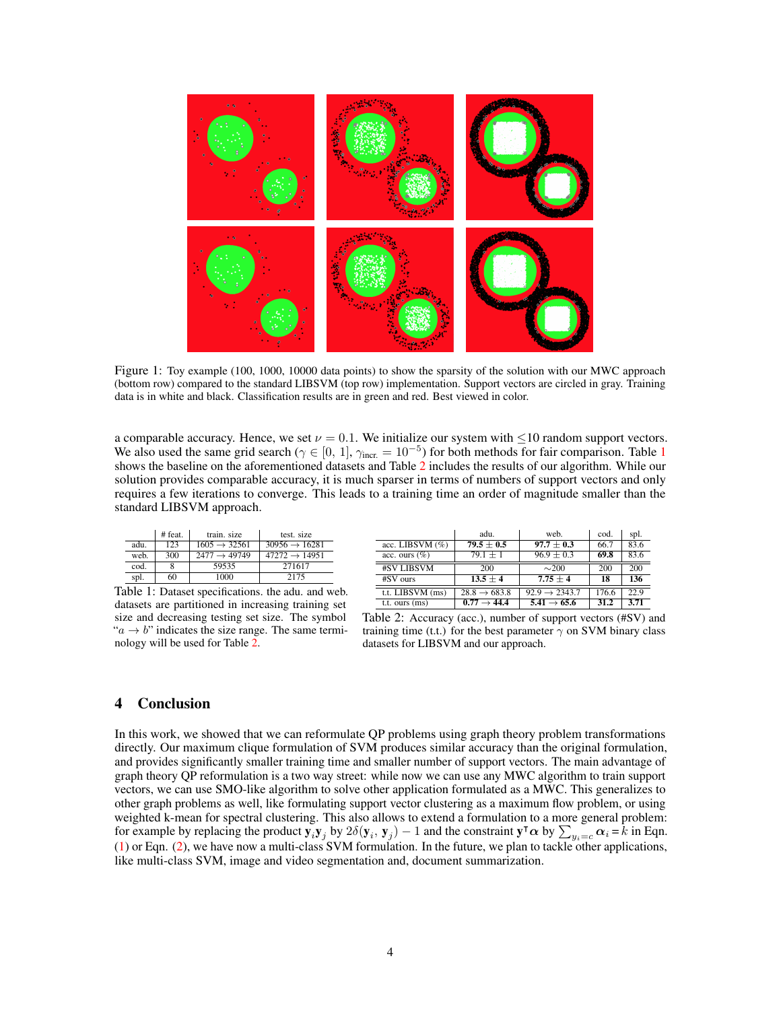

Figure 1: Toy example (100, 1000, 10000 data points) to show the sparsity of the solution with our MWC approach (bottom row) compared to the standard LIBSVM (top row) implementation. Support vectors are circled in gray. Training data is in white and black. Classification results are in green and red. Best viewed in color.

a comparable accuracy. Hence, we set  $\nu = 0.1$ . We initialize our system with  $\leq 10$  random support vectors. We also used the same grid search ( $\gamma \in [0, 1]$  $\gamma \in [0, 1]$  $\gamma \in [0, 1]$ ,  $\gamma_{\text{incr}} = 10^{-5}$ ) for both methods for fair comparison. Table 1 shows the baseline on the aforementioned datasets and Table [2](#page-3-0) includes the results of our algorithm. While our solution provides comparable accuracy, it is much sparser in terms of numbers of support vectors and only requires a few iterations to converge. This leads to a training time an order of magnitude smaller than the standard LIBSVM approach.

<span id="page-3-0"></span>

|      | # feat. | train, size              | test. size                |
|------|---------|--------------------------|---------------------------|
| adu. | 123     | $1605 \rightarrow 32561$ | $30956 \rightarrow 16281$ |
| web. | 300     | $2477 \rightarrow 49749$ | $47272 \rightarrow 14951$ |
| cod. |         | 59535                    | 271617                    |
| spl. | 60      | 1000                     | 2175                      |

| Table 1: Dataset specifications, the adu, and web.              |
|-----------------------------------------------------------------|
| datasets are partitioned in increasing training set             |
| size and decreasing testing set size. The symbol                |
| " $a \rightarrow b$ " indicates the size range. The same termi- |
| nology will be used for Table 2.                                |

|                    | adu.                     | web.                      | cod.  | spl. |
|--------------------|--------------------------|---------------------------|-------|------|
| acc. LIBSVM $(\%)$ | $79.5 \pm 0.5$           | $97.7 \pm 0.3$            | 66.7  | 83.6 |
| acc. ours $(\%)$   | $79.1 \pm 1$             | $96.9 \pm 0.3$            | 69.8  | 83.6 |
| #SV LIBSVM         | 200                      | $\sim$ 200                | 200   | 200  |
| #SV ours           | $13.5 \pm 4$             | $7.75 + 4$                | 18    | 136  |
| t.t. LIBSVM (ms)   | $28.8 \rightarrow 683.8$ | $92.9 \rightarrow 2343.7$ | 176.6 | 22.9 |
| t.t. ours (ms)     | $0.77 \rightarrow 44.4$  | $5.41 \rightarrow 65.6$   | 31.2  | 3.71 |

Table 2: Accuracy (acc.), number of support vectors (#SV) and training time (t.t.) for the best parameter  $\gamma$  on SVM binary class datasets for LIBSVM and our approach.

# 4 Conclusion

In this work, we showed that we can reformulate QP problems using graph theory problem transformations directly. Our maximum clique formulation of SVM produces similar accuracy than the original formulation, and provides significantly smaller training time and smaller number of support vectors. The main advantage of graph theory QP reformulation is a two way street: while now we can use any MWC algorithm to train support vectors, we can use SMO-like algorithm to solve other application formulated as a MWC. This generalizes to other graph problems as well, like formulating support vector clustering as a maximum flow problem, or using weighted k-mean for spectral clustering. This also allows to extend a formulation to a more general problem: for example by replacing the product  $y_i y_j$  by  $2\delta(y_i, y_j) - 1$  and the constraint  $y^{\dagger} \alpha$  by  $\sum_{y_i=c}^{\infty} \alpha_i = k$  in Eqn. [\(1\)](#page-1-0) or Eqn. [\(2\)](#page-1-1), we have now a multi-class SVM formulation. In the future, we plan to tackle other applications, like multi-class SVM, image and video segmentation and, document summarization.